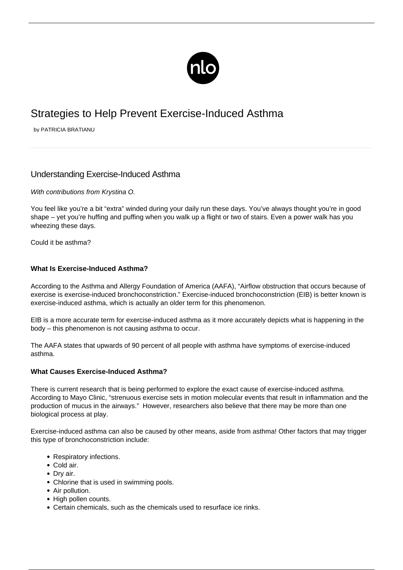

# Strategies to Help Prevent Exercise-Induced Asthma

by PATRICIA BRATIANU

# Understanding Exercise-Induced Asthma

# With contributions from Krystina O.

You feel like you're a bit "extra" winded during your daily run these days. You've always thought you're in good shape – yet you're huffing and puffing when you walk up a flight or two of stairs. Even a power walk has you wheezing these days.

[Could it be asthma?](/what-is-asthma/)

### **What Is Exercise-Induced Asthma?**

According to the Asthma and Allergy Foundation of America (AAFA), "Airflow obstruction that occurs because of exercise is exercise-induced bronchoconstriction." Exercise-induced bronchoconstriction (EIB) is better known is exercise-induced asthma, which is actually an older term for this phenomenon.

EIB is a more accurate term for exercise-induced asthma as it more accurately depicts what is happening in the body – this phenomenon is not causing asthma to occur.

The AAFA states that upwards of 90 percent of all people with asthma have symptoms of exercise-induced asthma.

### **What Causes Exercise-Induced Asthma?**

There is current research that is being performed to explore the exact cause of exercise-induced asthma. According to Mayo Clinic, "strenuous exercise sets in motion molecular events that result in inflammation and the production of mucus in the airways." However, researchers also believe that there may be more than one biological process at play.

Exercise-induced asthma can also be caused by other means, aside from asthma! Other factors that may trigger this type of bronchoconstriction include:

- Respiratory infections.
- Cold air.
- Dry air.
- Chlorine that is used in swimming pools.
- Air pollution.
- High pollen counts.
- Certain chemicals, such as the chemicals used to resurface ice rinks.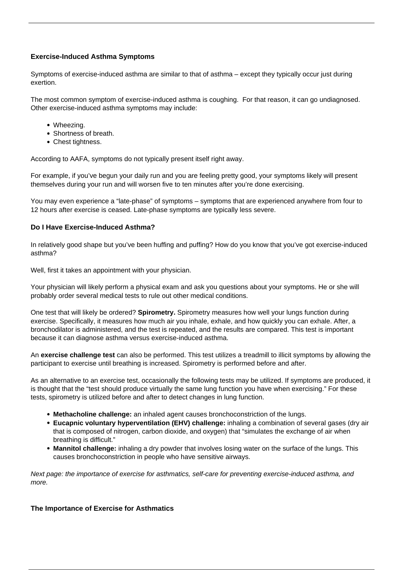# **Exercise-Induced Asthma Symptoms**

Symptoms of exercise-induced asthma are similar to that of asthma – except they typically occur just during exertion.

The most common symptom of exercise-induced asthma is coughing. For that reason, it can go undiagnosed. Other exercise-induced asthma symptoms may include:

- Wheezing.
- Shortness of breath.
- Chest tightness.

According to AAFA, symptoms do not typically present itself right away.

For example, if you've begun your daily run and you are feeling pretty good, your symptoms likely will present themselves during your run and will worsen five to ten minutes after you're done exercising.

You may even experience a "late-phase" of symptoms – symptoms that are experienced anywhere from four to 12 hours after exercise is ceased. Late-phase symptoms are typically less severe.

# **Do I Have Exercise-Induced Asthma?**

In relatively good shape but you've been huffing and puffing? How do you know that you've got exercise-induced asthma?

Well, first it takes an appointment with your physician.

Your physician will likely perform a physical exam and ask you questions about your symptoms. He or she will probably order several medical tests to rule out other medical conditions.

One test that will likely be ordered? **Spirometry.** Spirometry measures how well your lungs function during exercise. Specifically, it measures how much air you inhale, exhale, and how quickly you can exhale. After, a bronchodilator is administered, and the test is repeated, and the results are compared. This test is important because it can diagnose asthma versus exercise-induced asthma.

An **exercise challenge test** can also be performed. This test utilizes a treadmill to illicit symptoms by allowing the participant to exercise until breathing is increased. Spirometry is performed before and after.

As an alternative to an exercise test, occasionally the following tests may be utilized. If symptoms are produced, it is thought that the "test should produce virtually the same lung function you have when exercising." For these tests, spirometry is utilized before and after to detect changes in lung function.

- **Methacholine challenge:** an inhaled agent causes bronchoconstriction of the lungs.
- **Eucapnic voluntary hyperventilation (EHV) challenge:** inhaling a combination of several gases (dry air that is composed of nitrogen, carbon dioxide, and oxygen) that "simulates the exchange of air when breathing is difficult."
- **Mannitol challenge:** inhaling a dry powder that involves losing water on the surface of the lungs. This causes bronchoconstriction in people who have sensitive airways.

Next page: the importance of exercise for asthmatics, self-care for preventing exercise-induced asthma, and more.

# **The Importance of Exercise for Asthmatics**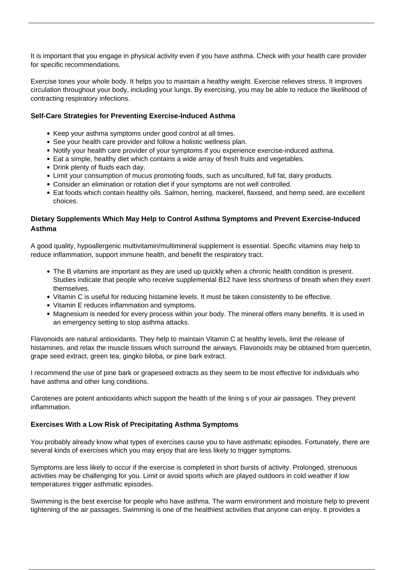It is important that you engage in physical activity even if you have asthma. Check with your health care provider for specific recommendations.

Exercise tones your whole body. It helps you to maintain a healthy weight. Exercise relieves stress. It improves circulation throughout your body, including your lungs. By [exercising,](/asthma-and-exercise/) you may be able to reduce the likelihood of contracting respiratory infections.

# **Self-Care Strategies for Preventing Exercise-Induced Asthma**

- Keep your [asthma symptoms](/symptoms-asthma/) under good control at all times.
- See your health care provider and follow a holistic wellness plan.
- Notify your health care provider of your symptoms if you experience exercise-induced asthma.
- Eat a simple, healthy diet which contains a wide array of fresh fruits and vegetables.
- Drink plenty of fluids each day.
- Limit your consumption of mucus promoting foods, such as uncultured, full fat, dairy products.
- Consider an elimination or rotation diet if your symptoms are not well controlled.
- Eat foods which contain healthy oils. Salmon, herring, mackerel, flaxseed, and hemp seed, are excellent choices.

# **Dietary Supplements Which May Help to Control Asthma Symptoms and Prevent Exercise-Induced Asthma**

A good quality, hypoallergenic multivitamin/multimineral supplement is essential. Specific vitamins may help to reduce inflammation, support immune health, and benefit the respiratory tract.

- The B vitamins are important as they are used up quickly when a chronic health condition is present. Studies indicate that people who receive supplemental B12 have less shortness of breath when they exert themselves.
- Vitamin C is useful for reducing histamine levels. It must be taken consistently to be effective.
- Vitamin E reduces inflammation and symptoms.
- Magnesium is needed for every process within your body. The mineral offers many benefits. It is used in an emergency setting to stop asthma attacks.

Flavonoids are natural antioxidants. They help to maintain Vitamin C at healthy levels, limit the release of histamines, and relax the muscle tissues which surround the airways. Flavonoids may be obtained from quercetin, grape seed extract, green tea, gingko biloba, or pine bark extract.

I recommend the use of pine bark or grapeseed extracts as they seem to be most effective for individuals who have asthma and other lung conditions.

Carotenes are potent antioxidants which support the health of the lining s of your air passages. They prevent inflammation.

### **Exercises With a Low Risk of Precipitating Asthma Symptoms**

You probably already know what types of exercises cause you to have asthmatic episodes. Fortunately, there are several kinds of exercises which you may enjoy that are less likely to [trigger symptoms](/asthma-triggers/).

Symptoms are less likely to occur if the exercise is completed in short bursts of activity. Prolonged, strenuous activities may be challenging for you. Limit or avoid sports which are played outdoors in cold weather if low temperatures trigger asthmatic episodes.

Swimming is the best exercise for people who have asthma. The warm environment and moisture help to prevent tightening of the air passages. Swimming is one of the healthiest activities that anyone can enjoy. It provides a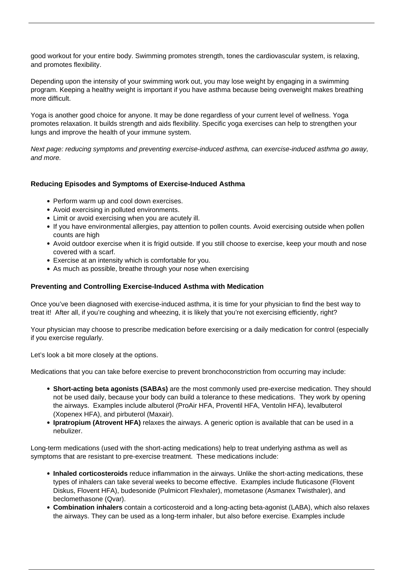good workout for your entire body. Swimming promotes strength, tones the cardiovascular system, is relaxing, and promotes flexibility.

Depending upon the intensity of your swimming work out, you may lose weight by engaging in a swimming program. Keeping a healthy weight is important if you have asthma because being overweight makes breathing more difficult.

Yoga is another good choice for anyone. It may be done regardless of your current level of wellness. Yoga promotes relaxation. It builds strength and aids flexibility. Specific yoga exercises can help to strengthen your lungs and improve the health of your immune system.

Next page: reducing symptoms and preventing exercise-induced asthma, can exercise-induced asthma go away, and more.

### **Reducing Episodes and Symptoms of Exercise-Induced Asthma**

- Perform warm up and cool down exercises.
- Avoid exercising in polluted environments.
- Limit or avoid exercising when you are acutely ill.
- If you have [environmental allergies](/asthma-allergies/), pay attention to pollen counts. Avoid exercising outside when pollen counts are high
- Avoid outdoor exercise when it is frigid outside. If you still choose to exercise, keep your mouth and nose covered with a scarf.
- Exercise at an intensity which is comfortable for you.
- As much as possible, breathe through your nose when exercising

## **Preventing and Controlling Exercise-Induced Asthma with Medication**

Once you've been diagnosed with exercise-induced asthma, it is time for your physician to find the best way to treat it! After all, if you're coughing and wheezing, it is likely that you're not exercising efficiently, right?

Your physician may choose to prescribe medication before exercising or a daily medication for control (especially if you exercise regularly.

Let's look a bit more closely at the options.

Medications that you can take before exercise to prevent bronchoconstriction from occurring may include:

- **Short-acting beta agonists (SABAs)** are the most commonly used pre-exercise medication. They should not be used daily, because your body can build a tolerance to these medications. They work by opening the airways. Examples include albuterol (ProAir HFA, Proventil HFA, Ventolin HFA), levalbuterol (Xopenex HFA), and pirbuterol (Maxair).
- **Ipratropium (Atrovent HFA)** relaxes the airways. A generic option is available that can be used in a nebulizer.

Long-term medications (used with the short-acting medications) help to treat underlying asthma as well as symptoms that are resistant to pre-exercise treatment. These medications include:

- **Inhaled corticosteroids** reduce inflammation in the airways. Unlike the short-acting medications, these types of inhalers can take several weeks to become effective. Examples include fluticasone (Flovent Diskus, Flovent HFA), budesonide (Pulmicort Flexhaler), mometasone (Asmanex Twisthaler), and beclomethasone (Qvar).
- **Combination inhalers** contain a corticosteroid and a long-acting beta-agonist (LABA), which also relaxes the airways. They can be used as a long-term inhaler, but also before exercise. Examples include